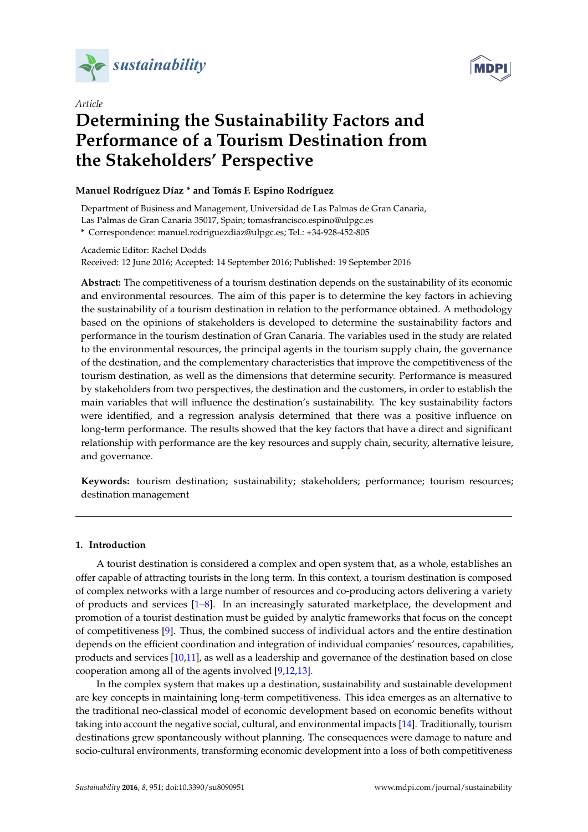



# *Article* **Determining the Sustainability Factors and Performance of a Tourism Destination from the Stakeholders' Perspective**

# **Manuel Rodríguez Díaz \* and Tomás F. Espino Rodríguez**

Department of Business and Management, Universidad de Las Palmas de Gran Canaria, Las Palmas de Gran Canaria 35017, Spain; tomasfrancisco.espino@ulpgc.es

**\*** Correspondence: manuel.rodriguezdiaz@ulpgc.es; Tel.: +34-928-452-805

Academic Editor: Rachel Dodds

Received: 12 June 2016; Accepted: 14 September 2016; Published: 19 September 2016

**Abstract:** The competitiveness of a tourism destination depends on the sustainability of its economic and environmental resources. The aim of this paper is to determine the key factors in achieving the sustainability of a tourism destination in relation to the performance obtained. A methodology based on the opinions of stakeholders is developed to determine the sustainability factors and performance in the tourism destination of Gran Canaria. The variables used in the study are related to the environmental resources, the principal agents in the tourism supply chain, the governance of the destination, and the complementary characteristics that improve the competitiveness of the tourism destination, as well as the dimensions that determine security. Performance is measured by stakeholders from two perspectives, the destination and the customers, in order to establish the main variables that will influence the destination's sustainability. The key sustainability factors were identified, and a regression analysis determined that there was a positive influence on long-term performance. The results showed that the key factors that have a direct and significant relationship with performance are the key resources and supply chain, security, alternative leisure, and governance.

**Keywords:** tourism destination; sustainability; stakeholders; performance; tourism resources; destination management

# **1. Introduction**

A tourist destination is considered a complex and open system that, as a whole, establishes an offer capable of attracting tourists in the long term. In this context, a tourism destination is composed of complex networks with a large number of resources and co-producing actors delivering a variety of products and services [\[1](#page-13-0)[–8\]](#page-13-1). In an increasingly saturated marketplace, the development and promotion of a tourist destination must be guided by analytic frameworks that focus on the concept of competitiveness [\[9\]](#page-13-2). Thus, the combined success of individual actors and the entire destination depends on the efficient coordination and integration of individual companies' resources, capabilities, products and services [\[10,](#page-13-3)[11\]](#page-13-4), as well as a leadership and governance of the destination based on close cooperation among all of the agents involved [\[9,](#page-13-2)[12](#page-13-5)[,13\]](#page-13-6).

In the complex system that makes up a destination, sustainability and sustainable development are key concepts in maintaining long-term competitiveness. This idea emerges as an alternative to the traditional neo-classical model of economic development based on economic benefits without taking into account the negative social, cultural, and environmental impacts [\[14\]](#page-13-7). Traditionally, tourism destinations grew spontaneously without planning. The consequences were damage to nature and socio-cultural environments, transforming economic development into a loss of both competitiveness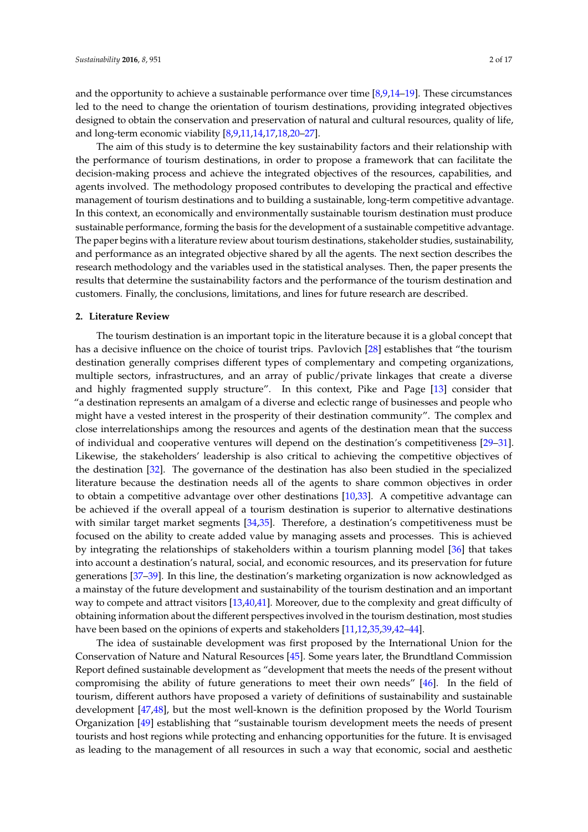and the opportunity to achieve a sustainable performance over time [\[8,](#page-13-1)[9,](#page-13-2)[14](#page-13-7)[–19\]](#page-14-0). These circumstances led to the need to change the orientation of tourism destinations, providing integrated objectives designed to obtain the conservation and preservation of natural and cultural resources, quality of life, and long-term economic viability [\[8](#page-13-1)[,9](#page-13-2)[,11](#page-13-4)[,14](#page-13-7)[,17,](#page-13-8)[18,](#page-14-1)[20–](#page-14-2)[27\]](#page-14-3).

The aim of this study is to determine the key sustainability factors and their relationship with the performance of tourism destinations, in order to propose a framework that can facilitate the decision-making process and achieve the integrated objectives of the resources, capabilities, and agents involved. The methodology proposed contributes to developing the practical and effective management of tourism destinations and to building a sustainable, long-term competitive advantage. In this context, an economically and environmentally sustainable tourism destination must produce sustainable performance, forming the basis for the development of a sustainable competitive advantage. The paper begins with a literature review about tourism destinations, stakeholder studies, sustainability, and performance as an integrated objective shared by all the agents. The next section describes the research methodology and the variables used in the statistical analyses. Then, the paper presents the results that determine the sustainability factors and the performance of the tourism destination and customers. Finally, the conclusions, limitations, and lines for future research are described.

#### **2. Literature Review**

The tourism destination is an important topic in the literature because it is a global concept that has a decisive influence on the choice of tourist trips. Pavlovich [\[28\]](#page-14-4) establishes that "the tourism destination generally comprises different types of complementary and competing organizations, multiple sectors, infrastructures, and an array of public/private linkages that create a diverse and highly fragmented supply structure". In this context, Pike and Page [\[13\]](#page-13-6) consider that "a destination represents an amalgam of a diverse and eclectic range of businesses and people who might have a vested interest in the prosperity of their destination community". The complex and close interrelationships among the resources and agents of the destination mean that the success of individual and cooperative ventures will depend on the destination's competitiveness [\[29–](#page-14-5)[31\]](#page-14-6). Likewise, the stakeholders' leadership is also critical to achieving the competitive objectives of the destination [\[32\]](#page-14-7). The governance of the destination has also been studied in the specialized literature because the destination needs all of the agents to share common objectives in order to obtain a competitive advantage over other destinations [\[10,](#page-13-3)[33\]](#page-14-8). A competitive advantage can be achieved if the overall appeal of a tourism destination is superior to alternative destinations with similar target market segments [\[34,](#page-14-9)[35\]](#page-14-10). Therefore, a destination's competitiveness must be focused on the ability to create added value by managing assets and processes. This is achieved by integrating the relationships of stakeholders within a tourism planning model [\[36\]](#page-14-11) that takes into account a destination's natural, social, and economic resources, and its preservation for future generations [\[37](#page-14-12)[–39\]](#page-14-13). In this line, the destination's marketing organization is now acknowledged as a mainstay of the future development and sustainability of the tourism destination and an important way to compete and attract visitors [\[13](#page-13-6)[,40](#page-14-14)[,41\]](#page-14-15). Moreover, due to the complexity and great difficulty of obtaining information about the different perspectives involved in the tourism destination, most studies have been based on the opinions of experts and stakeholders [\[11](#page-13-4)[,12](#page-13-5)[,35](#page-14-10)[,39](#page-14-13)[,42](#page-14-16)[–44\]](#page-14-17).

The idea of sustainable development was first proposed by the International Union for the Conservation of Nature and Natural Resources [\[45\]](#page-14-18). Some years later, the Brundtland Commission Report defined sustainable development as "development that meets the needs of the present without compromising the ability of future generations to meet their own needs" [\[46\]](#page-15-0). In the field of tourism, different authors have proposed a variety of definitions of sustainability and sustainable development [\[47](#page-15-1)[,48\]](#page-15-2), but the most well-known is the definition proposed by the World Tourism Organization [\[49\]](#page-15-3) establishing that "sustainable tourism development meets the needs of present tourists and host regions while protecting and enhancing opportunities for the future. It is envisaged as leading to the management of all resources in such a way that economic, social and aesthetic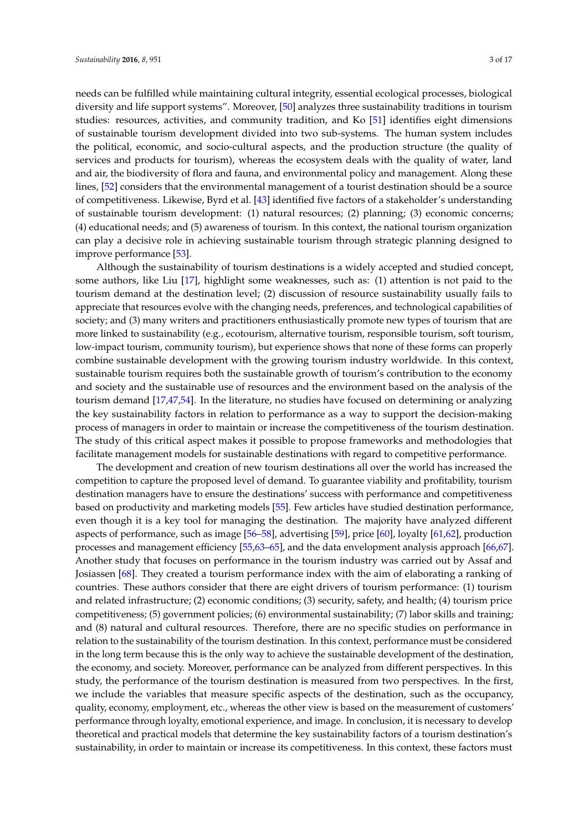needs can be fulfilled while maintaining cultural integrity, essential ecological processes, biological diversity and life support systems". Moreover, [\[50\]](#page-15-4) analyzes three sustainability traditions in tourism studies: resources, activities, and community tradition, and Ko [\[51\]](#page-15-5) identifies eight dimensions of sustainable tourism development divided into two sub-systems. The human system includes the political, economic, and socio-cultural aspects, and the production structure (the quality of services and products for tourism), whereas the ecosystem deals with the quality of water, land and air, the biodiversity of flora and fauna, and environmental policy and management. Along these lines, [\[52\]](#page-15-6) considers that the environmental management of a tourist destination should be a source of competitiveness. Likewise, Byrd et al. [\[43\]](#page-14-19) identified five factors of a stakeholder's understanding of sustainable tourism development: (1) natural resources; (2) planning; (3) economic concerns; (4) educational needs; and (5) awareness of tourism. In this context, the national tourism organization can play a decisive role in achieving sustainable tourism through strategic planning designed to improve performance [\[53\]](#page-15-7).

Although the sustainability of tourism destinations is a widely accepted and studied concept, some authors, like Liu [\[17\]](#page-13-8), highlight some weaknesses, such as: (1) attention is not paid to the tourism demand at the destination level; (2) discussion of resource sustainability usually fails to appreciate that resources evolve with the changing needs, preferences, and technological capabilities of society; and (3) many writers and practitioners enthusiastically promote new types of tourism that are more linked to sustainability (e.g., ecotourism, alternative tourism, responsible tourism, soft tourism, low-impact tourism, community tourism), but experience shows that none of these forms can properly combine sustainable development with the growing tourism industry worldwide. In this context, sustainable tourism requires both the sustainable growth of tourism's contribution to the economy and society and the sustainable use of resources and the environment based on the analysis of the tourism demand [\[17](#page-13-8)[,47](#page-15-1)[,54\]](#page-15-8). In the literature, no studies have focused on determining or analyzing the key sustainability factors in relation to performance as a way to support the decision-making process of managers in order to maintain or increase the competitiveness of the tourism destination. The study of this critical aspect makes it possible to propose frameworks and methodologies that facilitate management models for sustainable destinations with regard to competitive performance.

The development and creation of new tourism destinations all over the world has increased the competition to capture the proposed level of demand. To guarantee viability and profitability, tourism destination managers have to ensure the destinations' success with performance and competitiveness based on productivity and marketing models [\[55\]](#page-15-9). Few articles have studied destination performance, even though it is a key tool for managing the destination. The majority have analyzed different aspects of performance, such as image [\[56–](#page-15-10)[58\]](#page-15-11), advertising [\[59\]](#page-15-12), price [\[60\]](#page-15-13), loyalty [\[61,](#page-15-14)[62\]](#page-15-15), production processes and management efficiency [\[55,](#page-15-9)[63](#page-15-16)[–65\]](#page-15-17), and the data envelopment analysis approach [\[66](#page-15-18)[,67\]](#page-15-19). Another study that focuses on performance in the tourism industry was carried out by Assaf and Josiassen [\[68\]](#page-15-20). They created a tourism performance index with the aim of elaborating a ranking of countries. These authors consider that there are eight drivers of tourism performance: (1) tourism and related infrastructure; (2) economic conditions; (3) security, safety, and health; (4) tourism price competitiveness; (5) government policies; (6) environmental sustainability; (7) labor skills and training; and (8) natural and cultural resources. Therefore, there are no specific studies on performance in relation to the sustainability of the tourism destination. In this context, performance must be considered in the long term because this is the only way to achieve the sustainable development of the destination, the economy, and society. Moreover, performance can be analyzed from different perspectives. In this study, the performance of the tourism destination is measured from two perspectives. In the first, we include the variables that measure specific aspects of the destination, such as the occupancy, quality, economy, employment, etc., whereas the other view is based on the measurement of customers' performance through loyalty, emotional experience, and image. In conclusion, it is necessary to develop theoretical and practical models that determine the key sustainability factors of a tourism destination's sustainability, in order to maintain or increase its competitiveness. In this context, these factors must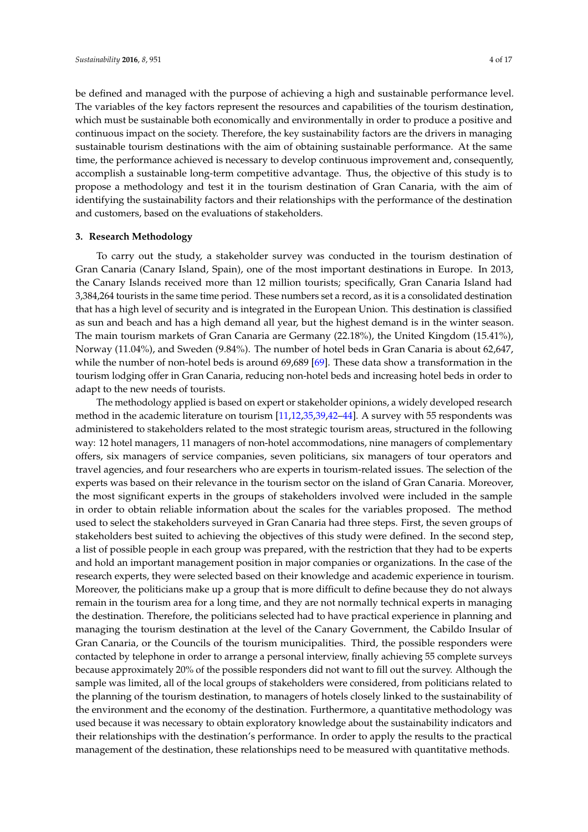be defined and managed with the purpose of achieving a high and sustainable performance level. The variables of the key factors represent the resources and capabilities of the tourism destination, which must be sustainable both economically and environmentally in order to produce a positive and continuous impact on the society. Therefore, the key sustainability factors are the drivers in managing sustainable tourism destinations with the aim of obtaining sustainable performance. At the same time, the performance achieved is necessary to develop continuous improvement and, consequently, accomplish a sustainable long-term competitive advantage. Thus, the objective of this study is to propose a methodology and test it in the tourism destination of Gran Canaria, with the aim of identifying the sustainability factors and their relationships with the performance of the destination and customers, based on the evaluations of stakeholders.

## **3. Research Methodology**

To carry out the study, a stakeholder survey was conducted in the tourism destination of Gran Canaria (Canary Island, Spain), one of the most important destinations in Europe. In 2013, the Canary Islands received more than 12 million tourists; specifically, Gran Canaria Island had 3,384,264 tourists in the same time period. These numbers set a record, as it is a consolidated destination that has a high level of security and is integrated in the European Union. This destination is classified as sun and beach and has a high demand all year, but the highest demand is in the winter season. The main tourism markets of Gran Canaria are Germany (22.18%), the United Kingdom (15.41%), Norway (11.04%), and Sweden (9.84%). The number of hotel beds in Gran Canaria is about 62,647, while the number of non-hotel beds is around 69,689 [\[69\]](#page-15-21). These data show a transformation in the tourism lodging offer in Gran Canaria, reducing non-hotel beds and increasing hotel beds in order to adapt to the new needs of tourists.

The methodology applied is based on expert or stakeholder opinions, a widely developed research method in the academic literature on tourism [\[11](#page-13-4)[,12](#page-13-5)[,35,](#page-14-10)[39,](#page-14-13)[42](#page-14-16)[–44\]](#page-14-17). A survey with 55 respondents was administered to stakeholders related to the most strategic tourism areas, structured in the following way: 12 hotel managers, 11 managers of non-hotel accommodations, nine managers of complementary offers, six managers of service companies, seven politicians, six managers of tour operators and travel agencies, and four researchers who are experts in tourism-related issues. The selection of the experts was based on their relevance in the tourism sector on the island of Gran Canaria. Moreover, the most significant experts in the groups of stakeholders involved were included in the sample in order to obtain reliable information about the scales for the variables proposed. The method used to select the stakeholders surveyed in Gran Canaria had three steps. First, the seven groups of stakeholders best suited to achieving the objectives of this study were defined. In the second step, a list of possible people in each group was prepared, with the restriction that they had to be experts and hold an important management position in major companies or organizations. In the case of the research experts, they were selected based on their knowledge and academic experience in tourism. Moreover, the politicians make up a group that is more difficult to define because they do not always remain in the tourism area for a long time, and they are not normally technical experts in managing the destination. Therefore, the politicians selected had to have practical experience in planning and managing the tourism destination at the level of the Canary Government, the Cabildo Insular of Gran Canaria, or the Councils of the tourism municipalities. Third, the possible responders were contacted by telephone in order to arrange a personal interview, finally achieving 55 complete surveys because approximately 20% of the possible responders did not want to fill out the survey. Although the sample was limited, all of the local groups of stakeholders were considered, from politicians related to the planning of the tourism destination, to managers of hotels closely linked to the sustainability of the environment and the economy of the destination. Furthermore, a quantitative methodology was used because it was necessary to obtain exploratory knowledge about the sustainability indicators and their relationships with the destination's performance. In order to apply the results to the practical management of the destination, these relationships need to be measured with quantitative methods.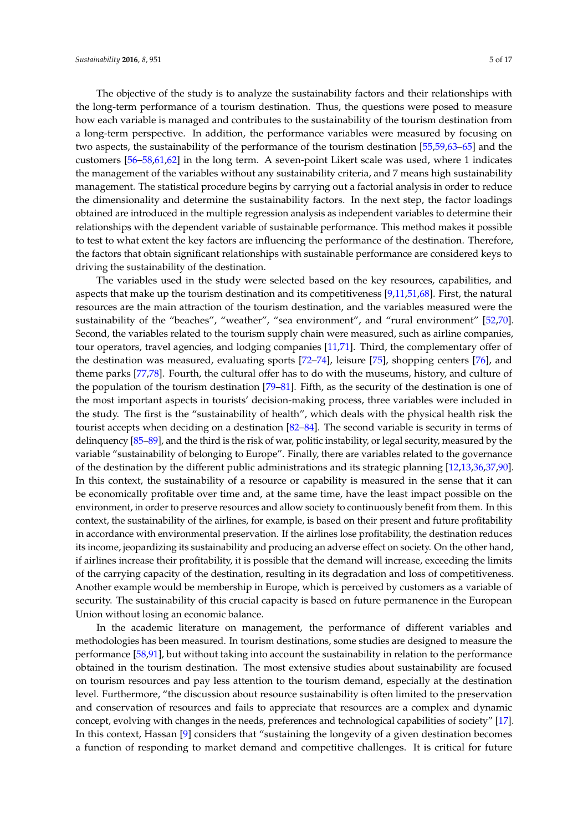The objective of the study is to analyze the sustainability factors and their relationships with the long-term performance of a tourism destination. Thus, the questions were posed to measure how each variable is managed and contributes to the sustainability of the tourism destination from a long-term perspective. In addition, the performance variables were measured by focusing on two aspects, the sustainability of the performance of the tourism destination [\[55,](#page-15-9)[59,](#page-15-12)[63](#page-15-16)[–65\]](#page-15-17) and the customers [\[56](#page-15-10)[–58,](#page-15-11)[61,](#page-15-14)[62\]](#page-15-15) in the long term. A seven-point Likert scale was used, where 1 indicates the management of the variables without any sustainability criteria, and 7 means high sustainability management. The statistical procedure begins by carrying out a factorial analysis in order to reduce the dimensionality and determine the sustainability factors. In the next step, the factor loadings obtained are introduced in the multiple regression analysis as independent variables to determine their relationships with the dependent variable of sustainable performance. This method makes it possible to test to what extent the key factors are influencing the performance of the destination. Therefore, the factors that obtain significant relationships with sustainable performance are considered keys to driving the sustainability of the destination.

The variables used in the study were selected based on the key resources, capabilities, and aspects that make up the tourism destination and its competitiveness [\[9](#page-13-2)[,11,](#page-13-4)[51,](#page-15-5)[68\]](#page-15-20). First, the natural resources are the main attraction of the tourism destination, and the variables measured were the sustainability of the "beaches", "weather", "sea environment", and "rural environment" [\[52,](#page-15-6)[70\]](#page-15-22). Second, the variables related to the tourism supply chain were measured, such as airline companies, tour operators, travel agencies, and lodging companies [\[11](#page-13-4)[,71\]](#page-15-23). Third, the complementary offer of the destination was measured, evaluating sports [\[72–](#page-15-24)[74\]](#page-16-0), leisure [\[75\]](#page-16-1), shopping centers [\[76\]](#page-16-2), and theme parks [\[77,](#page-16-3)[78\]](#page-16-4). Fourth, the cultural offer has to do with the museums, history, and culture of the population of the tourism destination  $[79–81]$  $[79–81]$ . Fifth, as the security of the destination is one of the most important aspects in tourists' decision-making process, three variables were included in the study. The first is the "sustainability of health", which deals with the physical health risk the tourist accepts when deciding on a destination [\[82](#page-16-7)[–84\]](#page-16-8). The second variable is security in terms of delinquency [\[85](#page-16-9)[–89\]](#page-16-10), and the third is the risk of war, politic instability, or legal security, measured by the variable "sustainability of belonging to Europe". Finally, there are variables related to the governance of the destination by the different public administrations and its strategic planning [\[12,](#page-13-5)[13,](#page-13-6)[36,](#page-14-11)[37,](#page-14-12)[90\]](#page-16-11). In this context, the sustainability of a resource or capability is measured in the sense that it can be economically profitable over time and, at the same time, have the least impact possible on the environment, in order to preserve resources and allow society to continuously benefit from them. In this context, the sustainability of the airlines, for example, is based on their present and future profitability in accordance with environmental preservation. If the airlines lose profitability, the destination reduces its income, jeopardizing its sustainability and producing an adverse effect on society. On the other hand, if airlines increase their profitability, it is possible that the demand will increase, exceeding the limits of the carrying capacity of the destination, resulting in its degradation and loss of competitiveness. Another example would be membership in Europe, which is perceived by customers as a variable of security. The sustainability of this crucial capacity is based on future permanence in the European Union without losing an economic balance.

In the academic literature on management, the performance of different variables and methodologies has been measured. In tourism destinations, some studies are designed to measure the performance [\[58](#page-15-11)[,91\]](#page-16-12), but without taking into account the sustainability in relation to the performance obtained in the tourism destination. The most extensive studies about sustainability are focused on tourism resources and pay less attention to the tourism demand, especially at the destination level. Furthermore, "the discussion about resource sustainability is often limited to the preservation and conservation of resources and fails to appreciate that resources are a complex and dynamic concept, evolving with changes in the needs, preferences and technological capabilities of society" [\[17\]](#page-13-8). In this context, Hassan [\[9\]](#page-13-2) considers that "sustaining the longevity of a given destination becomes a function of responding to market demand and competitive challenges. It is critical for future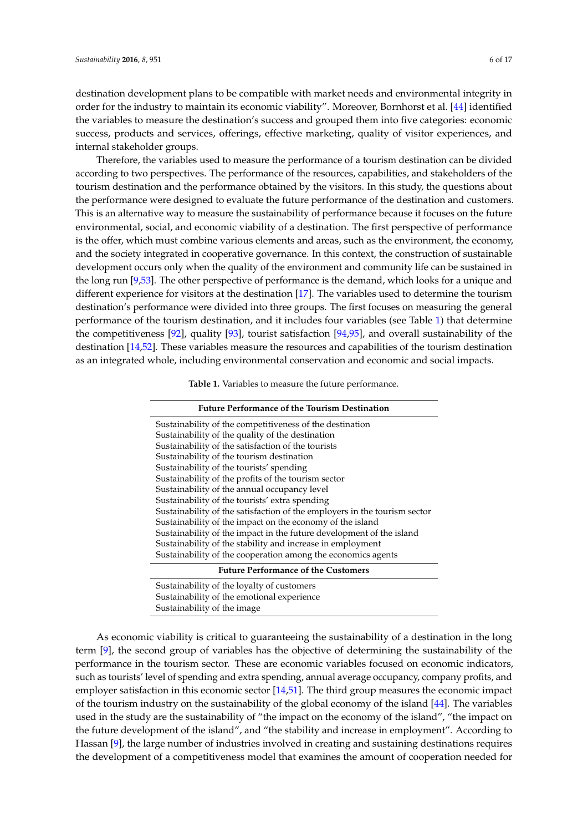destination development plans to be compatible with market needs and environmental integrity in order for the industry to maintain its economic viability". Moreover, Bornhorst et al. [\[44\]](#page-14-17) identified the variables to measure the destination's success and grouped them into five categories: economic success, products and services, offerings, effective marketing, quality of visitor experiences, and internal stakeholder groups.

Therefore, the variables used to measure the performance of a tourism destination can be divided according to two perspectives. The performance of the resources, capabilities, and stakeholders of the tourism destination and the performance obtained by the visitors. In this study, the questions about the performance were designed to evaluate the future performance of the destination and customers. This is an alternative way to measure the sustainability of performance because it focuses on the future environmental, social, and economic viability of a destination. The first perspective of performance is the offer, which must combine various elements and areas, such as the environment, the economy, and the society integrated in cooperative governance. In this context, the construction of sustainable development occurs only when the quality of the environment and community life can be sustained in the long run [\[9](#page-13-2)[,53\]](#page-15-7). The other perspective of performance is the demand, which looks for a unique and different experience for visitors at the destination [\[17\]](#page-13-8). The variables used to determine the tourism destination's performance were divided into three groups. The first focuses on measuring the general performance of the tourism destination, and it includes four variables (see Table [1\)](#page-5-0) that determine the competitiveness [\[92\]](#page-16-13), quality [\[93\]](#page-16-14), tourist satisfaction [\[94](#page-16-15)[,95\]](#page-16-16), and overall sustainability of the destination [\[14,](#page-13-7)[52\]](#page-15-6). These variables measure the resources and capabilities of the tourism destination as an integrated whole, including environmental conservation and economic and social impacts.

| Table 1. Variables to measure the future performance. |  |
|-------------------------------------------------------|--|
|-------------------------------------------------------|--|

<span id="page-5-0"></span>

| <b>Future Performance of the Tourism Destination</b>                      |  |  |  |  |
|---------------------------------------------------------------------------|--|--|--|--|
| Sustainability of the competitiveness of the destination                  |  |  |  |  |
| Sustainability of the quality of the destination                          |  |  |  |  |
| Sustainability of the satisfaction of the tourists                        |  |  |  |  |
| Sustainability of the tourism destination                                 |  |  |  |  |
| Sustainability of the tourists' spending                                  |  |  |  |  |
| Sustainability of the profits of the tourism sector                       |  |  |  |  |
| Sustainability of the annual occupancy level                              |  |  |  |  |
| Sustainability of the tourists' extra spending                            |  |  |  |  |
| Sustainability of the satisfaction of the employers in the tourism sector |  |  |  |  |
| Sustainability of the impact on the economy of the island                 |  |  |  |  |
| Sustainability of the impact in the future development of the island      |  |  |  |  |
| Sustainability of the stability and increase in employment                |  |  |  |  |
| Sustainability of the cooperation among the economics agents              |  |  |  |  |
| <b>Future Performance of the Customers</b>                                |  |  |  |  |
| Sustainability of the loyalty of customers                                |  |  |  |  |
| Sustainability of the emotional experience                                |  |  |  |  |

Sustainability of the image

As economic viability is critical to guaranteeing the sustainability of a destination in the long term [\[9\]](#page-13-2), the second group of variables has the objective of determining the sustainability of the performance in the tourism sector. These are economic variables focused on economic indicators, such as tourists' level of spending and extra spending, annual average occupancy, company profits, and employer satisfaction in this economic sector [\[14,](#page-13-7)[51\]](#page-15-5). The third group measures the economic impact of the tourism industry on the sustainability of the global economy of the island [\[44\]](#page-14-17). The variables used in the study are the sustainability of "the impact on the economy of the island", "the impact on the future development of the island", and "the stability and increase in employment". According to Hassan [\[9\]](#page-13-2), the large number of industries involved in creating and sustaining destinations requires the development of a competitiveness model that examines the amount of cooperation needed for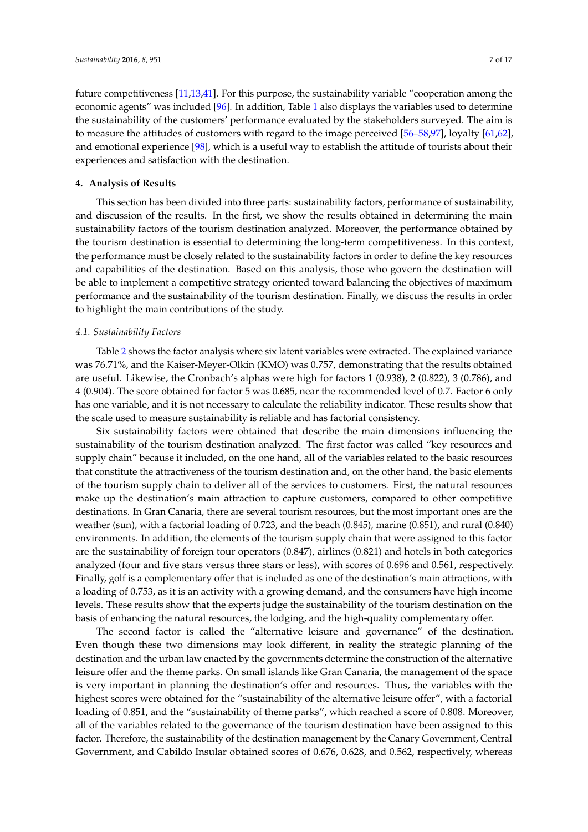future competitiveness [\[11](#page-13-4)[,13](#page-13-6)[,41\]](#page-14-15). For this purpose, the sustainability variable "cooperation among the economic agents" was included [\[96\]](#page-16-17). In addition, Table [1](#page-5-0) also displays the variables used to determine the sustainability of the customers' performance evaluated by the stakeholders surveyed. The aim is to measure the attitudes of customers with regard to the image perceived [\[56–](#page-15-10)[58](#page-15-11)[,97\]](#page-16-18), loyalty [\[61,](#page-15-14)[62\]](#page-15-15), and emotional experience [\[98\]](#page-16-19), which is a useful way to establish the attitude of tourists about their experiences and satisfaction with the destination.

### **4. Analysis of Results**

This section has been divided into three parts: sustainability factors, performance of sustainability, and discussion of the results. In the first, we show the results obtained in determining the main sustainability factors of the tourism destination analyzed. Moreover, the performance obtained by the tourism destination is essential to determining the long-term competitiveness. In this context, the performance must be closely related to the sustainability factors in order to define the key resources and capabilities of the destination. Based on this analysis, those who govern the destination will be able to implement a competitive strategy oriented toward balancing the objectives of maximum performance and the sustainability of the tourism destination. Finally, we discuss the results in order to highlight the main contributions of the study.

## *4.1. Sustainability Factors*

Table [2](#page-7-0) shows the factor analysis where six latent variables were extracted. The explained variance was 76.71%, and the Kaiser-Meyer-Olkin (KMO) was 0.757, demonstrating that the results obtained are useful. Likewise, the Cronbach's alphas were high for factors 1 (0.938), 2 (0.822), 3 (0.786), and 4 (0.904). The score obtained for factor 5 was 0.685, near the recommended level of 0.7. Factor 6 only has one variable, and it is not necessary to calculate the reliability indicator. These results show that the scale used to measure sustainability is reliable and has factorial consistency.

Six sustainability factors were obtained that describe the main dimensions influencing the sustainability of the tourism destination analyzed. The first factor was called "key resources and supply chain" because it included, on the one hand, all of the variables related to the basic resources that constitute the attractiveness of the tourism destination and, on the other hand, the basic elements of the tourism supply chain to deliver all of the services to customers. First, the natural resources make up the destination's main attraction to capture customers, compared to other competitive destinations. In Gran Canaria, there are several tourism resources, but the most important ones are the weather (sun), with a factorial loading of 0.723, and the beach (0.845), marine (0.851), and rural (0.840) environments. In addition, the elements of the tourism supply chain that were assigned to this factor are the sustainability of foreign tour operators (0.847), airlines (0.821) and hotels in both categories analyzed (four and five stars versus three stars or less), with scores of 0.696 and 0.561, respectively. Finally, golf is a complementary offer that is included as one of the destination's main attractions, with a loading of 0.753, as it is an activity with a growing demand, and the consumers have high income levels. These results show that the experts judge the sustainability of the tourism destination on the basis of enhancing the natural resources, the lodging, and the high-quality complementary offer.

The second factor is called the "alternative leisure and governance" of the destination. Even though these two dimensions may look different, in reality the strategic planning of the destination and the urban law enacted by the governments determine the construction of the alternative leisure offer and the theme parks. On small islands like Gran Canaria, the management of the space is very important in planning the destination's offer and resources. Thus, the variables with the highest scores were obtained for the "sustainability of the alternative leisure offer", with a factorial loading of 0.851, and the "sustainability of theme parks", which reached a score of 0.808. Moreover, all of the variables related to the governance of the tourism destination have been assigned to this factor. Therefore, the sustainability of the destination management by the Canary Government, Central Government, and Cabildo Insular obtained scores of 0.676, 0.628, and 0.562, respectively, whereas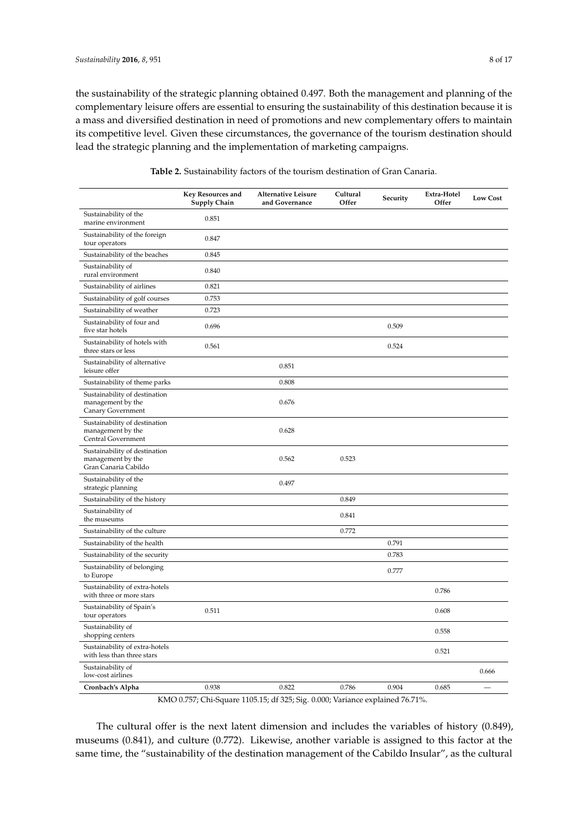the sustainability of the strategic planning obtained 0.497. Both the management and planning of the complementary leisure offers are essential to ensuring the sustainability of this destination because it is a mass and diversified destination in need of promotions and new complementary offers to maintain its competitive level. Given these circumstances, the governance of the tourism destination should lead the strategic planning and the implementation of marketing campaigns.

<span id="page-7-0"></span>

|                                                                            | <b>Key Resources and</b><br><b>Supply Chain</b> | Alternative Leisure<br>and Governance | Cultural<br>Offer | Security | Extra-Hotel<br>Offer | <b>Low Cost</b> |
|----------------------------------------------------------------------------|-------------------------------------------------|---------------------------------------|-------------------|----------|----------------------|-----------------|
| Sustainability of the<br>marine environment                                | 0.851                                           |                                       |                   |          |                      |                 |
| Sustainability of the foreign<br>tour operators                            | 0.847                                           |                                       |                   |          |                      |                 |
| Sustainability of the beaches                                              | 0.845                                           |                                       |                   |          |                      |                 |
| Sustainability of<br>rural environment                                     | 0.840                                           |                                       |                   |          |                      |                 |
| Sustainability of airlines                                                 | 0.821                                           |                                       |                   |          |                      |                 |
| Sustainability of golf courses                                             | 0.753                                           |                                       |                   |          |                      |                 |
| Sustainability of weather                                                  | 0.723                                           |                                       |                   |          |                      |                 |
| Sustainability of four and<br>five star hotels                             | 0.696                                           |                                       |                   | 0.509    |                      |                 |
| Sustainability of hotels with<br>three stars or less                       | 0.561                                           |                                       |                   | 0.524    |                      |                 |
| Sustainability of alternative<br>leisure offer                             |                                                 | 0.851                                 |                   |          |                      |                 |
| Sustainability of theme parks                                              |                                                 | 0.808                                 |                   |          |                      |                 |
| Sustainability of destination<br>management by the<br>Canary Government    |                                                 | 0.676                                 |                   |          |                      |                 |
| Sustainability of destination<br>management by the<br>Central Government   |                                                 | 0.628                                 |                   |          |                      |                 |
| Sustainability of destination<br>management by the<br>Gran Canaria Cabildo |                                                 | 0.562                                 | 0.523             |          |                      |                 |
| Sustainability of the<br>strategic planning                                |                                                 | 0.497                                 |                   |          |                      |                 |
| Sustainability of the history                                              |                                                 |                                       | 0.849             |          |                      |                 |
| Sustainability of<br>the museums                                           |                                                 |                                       | 0.841             |          |                      |                 |
| Sustainability of the culture                                              |                                                 |                                       | 0.772             |          |                      |                 |
| Sustainability of the health                                               |                                                 |                                       |                   | 0.791    |                      |                 |
| Sustainability of the security                                             |                                                 |                                       |                   | 0.783    |                      |                 |
| Sustainability of belonging<br>to Europe                                   |                                                 |                                       |                   | 0.777    |                      |                 |
| Sustainability of extra-hotels<br>with three or more stars                 |                                                 |                                       |                   |          | 0.786                |                 |
| Sustainability of Spain's<br>tour operators                                | 0.511                                           |                                       |                   |          | 0.608                |                 |
| Sustainability of<br>shopping centers                                      |                                                 |                                       |                   |          | 0.558                |                 |
| Sustainability of extra-hotels<br>with less than three stars               |                                                 |                                       |                   |          | 0.521                |                 |
| Sustainability of<br>low-cost airlines                                     |                                                 |                                       |                   |          |                      | 0.666           |
| Cronbach's Alpha                                                           | 0.938                                           | 0.822                                 | 0.786             | 0.904    | 0.685                |                 |

| <b>Table 2.</b> Sustainability factors of the tourism destination of Gran Canaria. |  |
|------------------------------------------------------------------------------------|--|
|------------------------------------------------------------------------------------|--|

KMO 0.757; Chi-Square 1105.15; df 325; Sig. 0.000; Variance explained 76.71%.

The cultural offer is the next latent dimension and includes the variables of history (0.849), museums (0.841), and culture (0.772). Likewise, another variable is assigned to this factor at the same time, the "sustainability of the destination management of the Cabildo Insular", as the cultural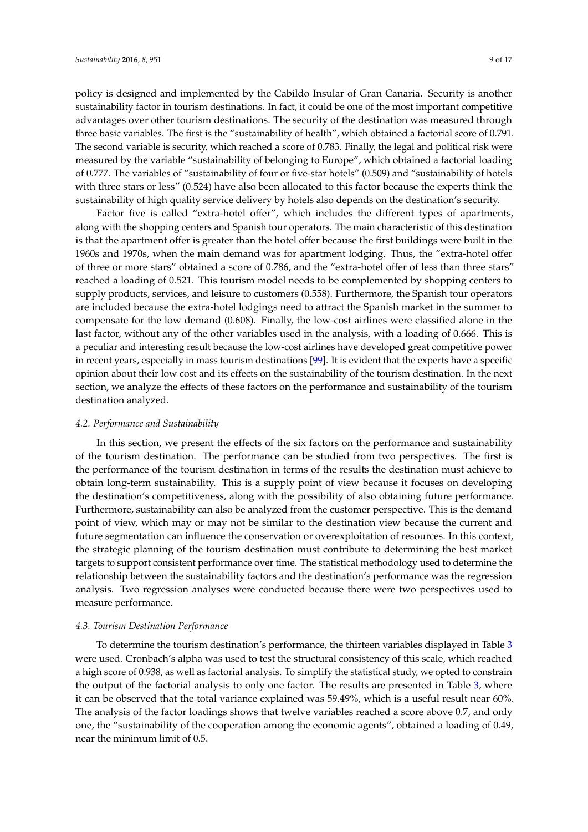policy is designed and implemented by the Cabildo Insular of Gran Canaria. Security is another sustainability factor in tourism destinations. In fact, it could be one of the most important competitive advantages over other tourism destinations. The security of the destination was measured through three basic variables. The first is the "sustainability of health", which obtained a factorial score of 0.791. The second variable is security, which reached a score of 0.783. Finally, the legal and political risk were measured by the variable "sustainability of belonging to Europe", which obtained a factorial loading of 0.777. The variables of "sustainability of four or five-star hotels" (0.509) and "sustainability of hotels with three stars or less" (0.524) have also been allocated to this factor because the experts think the sustainability of high quality service delivery by hotels also depends on the destination's security.

Factor five is called "extra-hotel offer", which includes the different types of apartments, along with the shopping centers and Spanish tour operators. The main characteristic of this destination is that the apartment offer is greater than the hotel offer because the first buildings were built in the 1960s and 1970s, when the main demand was for apartment lodging. Thus, the "extra-hotel offer of three or more stars" obtained a score of 0.786, and the "extra-hotel offer of less than three stars" reached a loading of 0.521. This tourism model needs to be complemented by shopping centers to supply products, services, and leisure to customers (0.558). Furthermore, the Spanish tour operators are included because the extra-hotel lodgings need to attract the Spanish market in the summer to compensate for the low demand (0.608). Finally, the low-cost airlines were classified alone in the last factor, without any of the other variables used in the analysis, with a loading of 0.666. This is a peculiar and interesting result because the low-cost airlines have developed great competitive power in recent years, especially in mass tourism destinations [\[99\]](#page-16-20). It is evident that the experts have a specific opinion about their low cost and its effects on the sustainability of the tourism destination. In the next section, we analyze the effects of these factors on the performance and sustainability of the tourism destination analyzed.

## *4.2. Performance and Sustainability*

In this section, we present the effects of the six factors on the performance and sustainability of the tourism destination. The performance can be studied from two perspectives. The first is the performance of the tourism destination in terms of the results the destination must achieve to obtain long-term sustainability. This is a supply point of view because it focuses on developing the destination's competitiveness, along with the possibility of also obtaining future performance. Furthermore, sustainability can also be analyzed from the customer perspective. This is the demand point of view, which may or may not be similar to the destination view because the current and future segmentation can influence the conservation or overexploitation of resources. In this context, the strategic planning of the tourism destination must contribute to determining the best market targets to support consistent performance over time. The statistical methodology used to determine the relationship between the sustainability factors and the destination's performance was the regression analysis. Two regression analyses were conducted because there were two perspectives used to measure performance.

## *4.3. Tourism Destination Performance*

To determine the tourism destination's performance, the thirteen variables displayed in Table [3](#page-9-0) were used. Cronbach's alpha was used to test the structural consistency of this scale, which reached a high score of 0.938, as well as factorial analysis. To simplify the statistical study, we opted to constrain the output of the factorial analysis to only one factor. The results are presented in Table [3,](#page-9-0) where it can be observed that the total variance explained was 59.49%, which is a useful result near 60%. The analysis of the factor loadings shows that twelve variables reached a score above 0.7, and only one, the "sustainability of the cooperation among the economic agents", obtained a loading of 0.49, near the minimum limit of 0.5.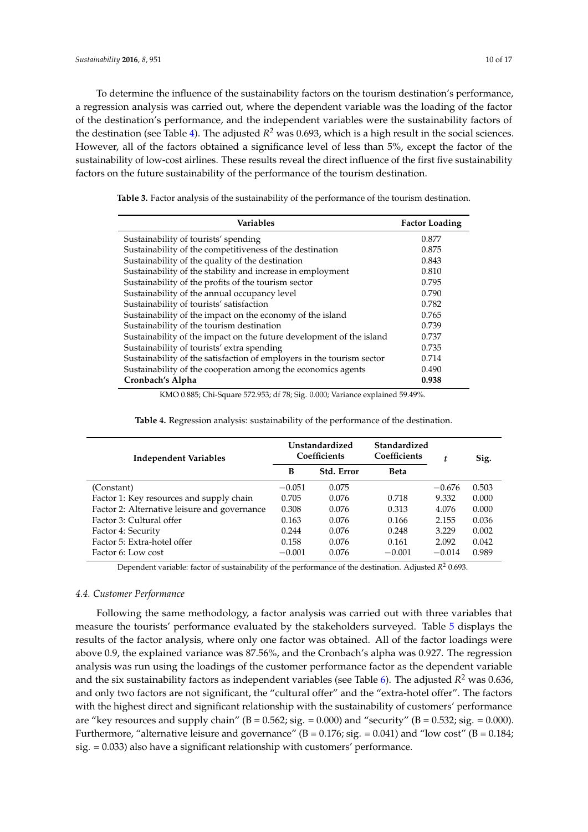To determine the influence of the sustainability factors on the tourism destination's performance, a regression analysis was carried out, where the dependent variable was the loading of the factor of the destination's performance, and the independent variables were the sustainability factors of the destination (see Table [4\)](#page-9-1). The adjusted *R <sup>2</sup>* was 0.693, which is a high result in the social sciences. However, all of the factors obtained a significance level of less than 5%, except the factor of the sustainability of low-cost airlines. These results reveal the direct influence of the first five sustainability factors on the future sustainability of the performance of the tourism destination.

| <b>Variables</b>                                                      | <b>Factor Loading</b> |
|-----------------------------------------------------------------------|-----------------------|
| Sustainability of tourists' spending                                  | 0.877                 |
| Sustainability of the competitiveness of the destination              | 0.875                 |
| Sustainability of the quality of the destination                      | 0.843                 |
| Sustainability of the stability and increase in employment            | 0.810                 |
| Sustainability of the profits of the tourism sector                   | 0.795                 |
| Sustainability of the annual occupancy level                          | 0.790                 |
| Sustainability of tourists' satisfaction                              | 0.782                 |
| Sustainability of the impact on the economy of the island             | 0.765                 |
| Sustainability of the tourism destination                             | 0.739                 |
| Sustainability of the impact on the future development of the island  | 0.737                 |
| Sustainability of tourists' extra spending                            | 0.735                 |
| Sustainability of the satisfaction of employers in the tourism sector | 0.714                 |
| Sustainability of the cooperation among the economics agents          | 0.490                 |
| Cronbach's Alpha                                                      | 0.938                 |

<span id="page-9-0"></span>**Table 3.** Factor analysis of the sustainability of the performance of the tourism destination.

KMO 0.885; Chi-Square 572.953; df 78; Sig. 0.000; Variance explained 59.49%.

<span id="page-9-1"></span>

| <b>Independent Variables</b>                 | Unstandardized<br>Coefficients |            | Standardized<br>Coefficients | t        | Sig.  |
|----------------------------------------------|--------------------------------|------------|------------------------------|----------|-------|
|                                              | B                              | Std. Error | <b>Beta</b>                  |          |       |
| (Constant)                                   | $-0.051$                       | 0.075      |                              | $-0.676$ | 0.503 |
| Factor 1: Key resources and supply chain     | 0.705                          | 0.076      | 0.718                        | 9.332    | 0.000 |
| Factor 2: Alternative leisure and governance | 0.308                          | 0.076      | 0.313                        | 4.076    | 0.000 |
| Factor 3: Cultural offer                     | 0.163                          | 0.076      | 0.166                        | 2.155    | 0.036 |
| Factor 4: Security                           | 0.244                          | 0.076      | 0.248                        | 3.229    | 0.002 |
| Factor 5: Extra-hotel offer                  | 0.158                          | 0.076      | 0.161                        | 2.092    | 0.042 |
| Factor 6: Low cost                           | $-0.001$                       | 0.076      | $-0.001$                     | $-0.014$ | 0.989 |

**Table 4.** Regression analysis: sustainability of the performance of the destination.

Dependent variable: factor of sustainability of the performance of the destination. Adjusted  $R^2$  0.693.

## *4.4. Customer Performance*

Following the same methodology, a factor analysis was carried out with three variables that measure the tourists' performance evaluated by the stakeholders surveyed. Table [5](#page-10-0) displays the results of the factor analysis, where only one factor was obtained. All of the factor loadings were above 0.9, the explained variance was 87.56%, and the Cronbach's alpha was 0.927. The regression analysis was run using the loadings of the customer performance factor as the dependent variable and the six sustainability factors as independent variables (see Table [6\)](#page-10-1). The adjusted *R* <sup>2</sup> was 0.636, and only two factors are not significant, the "cultural offer" and the "extra-hotel offer". The factors with the highest direct and significant relationship with the sustainability of customers' performance are "key resources and supply chain" (B = 0.562; sig. = 0.000) and "security" (B = 0.532; sig. = 0.000). Furthermore, "alternative leisure and governance" ( $B = 0.176$ ; sig. = 0.041) and "low cost" ( $B = 0.184$ ; sig. = 0.033) also have a significant relationship with customers' performance.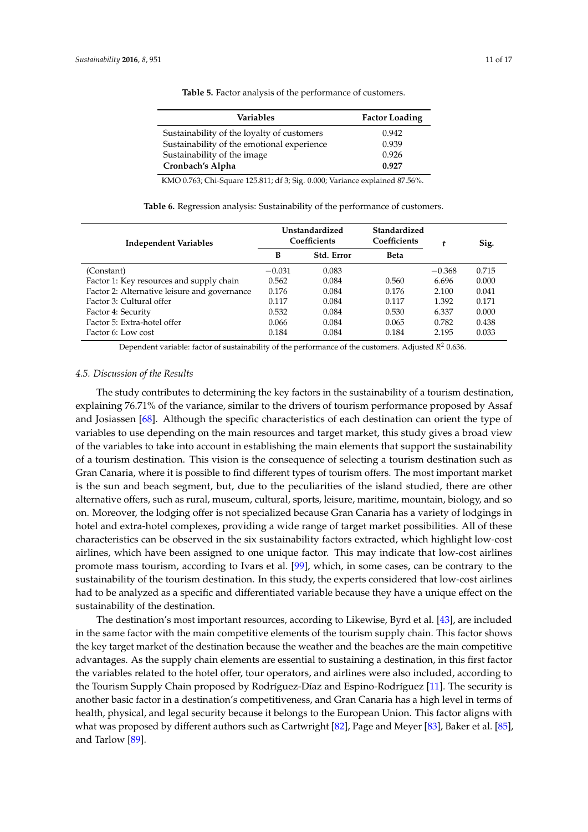<span id="page-10-0"></span>

| Variables                                  | <b>Factor Loading</b> |
|--------------------------------------------|-----------------------|
| Sustainability of the loyalty of customers | 0.942                 |
| Sustainability of the emotional experience | 0.939                 |
| Sustainability of the image                | 0.926                 |
| Cronbach's Alpha                           | 0.927                 |

**Table 5.** Factor analysis of the performance of customers.

KMO 0.763; Chi-Square 125.811; df 3; Sig. 0.000; Variance explained 87.56%.

<span id="page-10-1"></span>

| <b>Independent Variables</b>                 | Unstandardized<br>Coefficients |            | Standardized<br>Coefficients | t        | Sig.  |
|----------------------------------------------|--------------------------------|------------|------------------------------|----------|-------|
|                                              | В                              | Std. Error | <b>Beta</b>                  |          |       |
| (Constant)                                   | $-0.031$                       | 0.083      |                              | $-0.368$ | 0.715 |
| Factor 1: Key resources and supply chain     | 0.562                          | 0.084      | 0.560                        | 6.696    | 0.000 |
| Factor 2: Alternative leisure and governance | 0.176                          | 0.084      | 0.176                        | 2.100    | 0.041 |
| Factor 3: Cultural offer                     | 0.117                          | 0.084      | 0.117                        | 1.392    | 0.171 |
| Factor 4: Security                           | 0.532                          | 0.084      | 0.530                        | 6.337    | 0.000 |
| Factor 5: Extra-hotel offer                  | 0.066                          | 0.084      | 0.065                        | 0.782    | 0.438 |
| Factor 6: Low cost                           | 0.184                          | 0.084      | 0.184                        | 2.195    | 0.033 |

**Table 6.** Regression analysis: Sustainability of the performance of customers.

Dependent variable: factor of sustainability of the performance of the customers. Adjusted  $R^2$  0.636.

#### *4.5. Discussion of the Results*

The study contributes to determining the key factors in the sustainability of a tourism destination, explaining 76.71% of the variance, similar to the drivers of tourism performance proposed by Assaf and Josiassen [\[68\]](#page-15-20). Although the specific characteristics of each destination can orient the type of variables to use depending on the main resources and target market, this study gives a broad view of the variables to take into account in establishing the main elements that support the sustainability of a tourism destination. This vision is the consequence of selecting a tourism destination such as Gran Canaria, where it is possible to find different types of tourism offers. The most important market is the sun and beach segment, but, due to the peculiarities of the island studied, there are other alternative offers, such as rural, museum, cultural, sports, leisure, maritime, mountain, biology, and so on. Moreover, the lodging offer is not specialized because Gran Canaria has a variety of lodgings in hotel and extra-hotel complexes, providing a wide range of target market possibilities. All of these characteristics can be observed in the six sustainability factors extracted, which highlight low-cost airlines, which have been assigned to one unique factor. This may indicate that low-cost airlines promote mass tourism, according to Ivars et al. [\[99\]](#page-16-20), which, in some cases, can be contrary to the sustainability of the tourism destination. In this study, the experts considered that low-cost airlines had to be analyzed as a specific and differentiated variable because they have a unique effect on the sustainability of the destination.

The destination's most important resources, according to Likewise, Byrd et al. [\[43\]](#page-14-19), are included in the same factor with the main competitive elements of the tourism supply chain. This factor shows the key target market of the destination because the weather and the beaches are the main competitive advantages. As the supply chain elements are essential to sustaining a destination, in this first factor the variables related to the hotel offer, tour operators, and airlines were also included, according to the Tourism Supply Chain proposed by Rodríguez-Díaz and Espino-Rodríguez [\[11\]](#page-13-4). The security is another basic factor in a destination's competitiveness, and Gran Canaria has a high level in terms of health, physical, and legal security because it belongs to the European Union. This factor aligns with what was proposed by different authors such as Cartwright [\[82\]](#page-16-7), Page and Meyer [\[83\]](#page-16-21), Baker et al. [\[85\]](#page-16-9), and Tarlow [\[89\]](#page-16-10).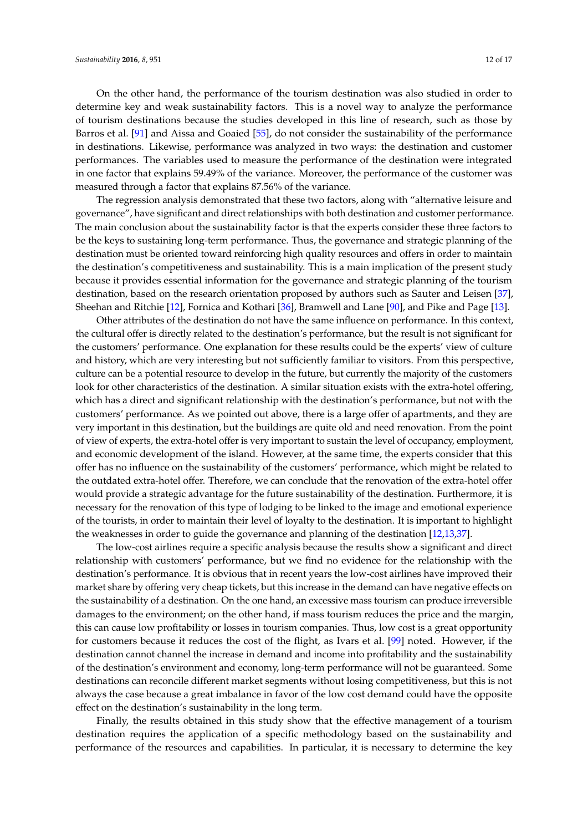On the other hand, the performance of the tourism destination was also studied in order to determine key and weak sustainability factors. This is a novel way to analyze the performance of tourism destinations because the studies developed in this line of research, such as those by Barros et al. [\[91\]](#page-16-12) and Aissa and Goaied [\[55\]](#page-15-9), do not consider the sustainability of the performance in destinations. Likewise, performance was analyzed in two ways: the destination and customer performances. The variables used to measure the performance of the destination were integrated in one factor that explains 59.49% of the variance. Moreover, the performance of the customer was measured through a factor that explains 87.56% of the variance.

The regression analysis demonstrated that these two factors, along with "alternative leisure and governance", have significant and direct relationships with both destination and customer performance. The main conclusion about the sustainability factor is that the experts consider these three factors to be the keys to sustaining long-term performance. Thus, the governance and strategic planning of the destination must be oriented toward reinforcing high quality resources and offers in order to maintain the destination's competitiveness and sustainability. This is a main implication of the present study because it provides essential information for the governance and strategic planning of the tourism destination, based on the research orientation proposed by authors such as Sauter and Leisen [\[37\]](#page-14-12), Sheehan and Ritchie [\[12\]](#page-13-5), Fornica and Kothari [\[36\]](#page-14-11), Bramwell and Lane [\[90\]](#page-16-11), and Pike and Page [\[13\]](#page-13-6).

Other attributes of the destination do not have the same influence on performance. In this context, the cultural offer is directly related to the destination's performance, but the result is not significant for the customers' performance. One explanation for these results could be the experts' view of culture and history, which are very interesting but not sufficiently familiar to visitors. From this perspective, culture can be a potential resource to develop in the future, but currently the majority of the customers look for other characteristics of the destination. A similar situation exists with the extra-hotel offering, which has a direct and significant relationship with the destination's performance, but not with the customers' performance. As we pointed out above, there is a large offer of apartments, and they are very important in this destination, but the buildings are quite old and need renovation. From the point of view of experts, the extra-hotel offer is very important to sustain the level of occupancy, employment, and economic development of the island. However, at the same time, the experts consider that this offer has no influence on the sustainability of the customers' performance, which might be related to the outdated extra-hotel offer. Therefore, we can conclude that the renovation of the extra-hotel offer would provide a strategic advantage for the future sustainability of the destination. Furthermore, it is necessary for the renovation of this type of lodging to be linked to the image and emotional experience of the tourists, in order to maintain their level of loyalty to the destination. It is important to highlight the weaknesses in order to guide the governance and planning of the destination [\[12,](#page-13-5)[13,](#page-13-6)[37\]](#page-14-12).

The low-cost airlines require a specific analysis because the results show a significant and direct relationship with customers' performance, but we find no evidence for the relationship with the destination's performance. It is obvious that in recent years the low-cost airlines have improved their market share by offering very cheap tickets, but this increase in the demand can have negative effects on the sustainability of a destination. On the one hand, an excessive mass tourism can produce irreversible damages to the environment; on the other hand, if mass tourism reduces the price and the margin, this can cause low profitability or losses in tourism companies. Thus, low cost is a great opportunity for customers because it reduces the cost of the flight, as Ivars et al. [\[99\]](#page-16-20) noted. However, if the destination cannot channel the increase in demand and income into profitability and the sustainability of the destination's environment and economy, long-term performance will not be guaranteed. Some destinations can reconcile different market segments without losing competitiveness, but this is not always the case because a great imbalance in favor of the low cost demand could have the opposite effect on the destination's sustainability in the long term.

Finally, the results obtained in this study show that the effective management of a tourism destination requires the application of a specific methodology based on the sustainability and performance of the resources and capabilities. In particular, it is necessary to determine the key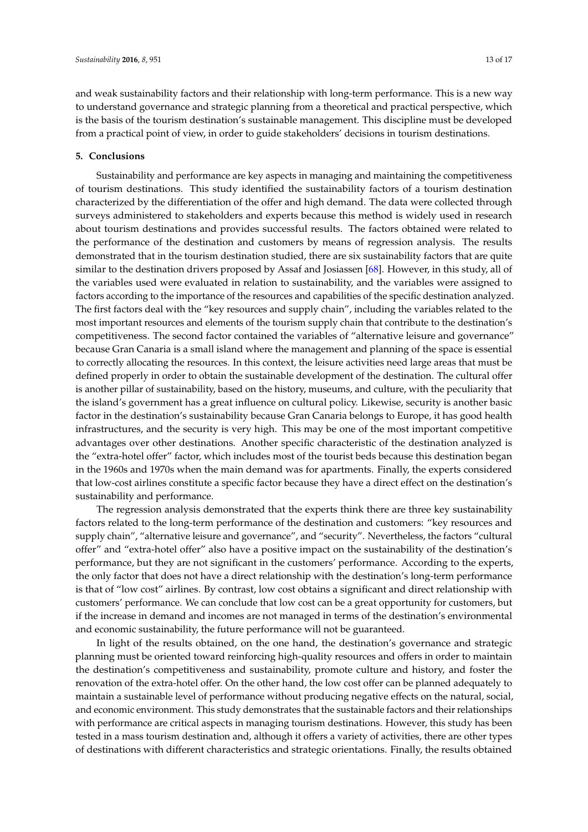and weak sustainability factors and their relationship with long-term performance. This is a new way to understand governance and strategic planning from a theoretical and practical perspective, which is the basis of the tourism destination's sustainable management. This discipline must be developed from a practical point of view, in order to guide stakeholders' decisions in tourism destinations.

### **5. Conclusions**

Sustainability and performance are key aspects in managing and maintaining the competitiveness of tourism destinations. This study identified the sustainability factors of a tourism destination characterized by the differentiation of the offer and high demand. The data were collected through surveys administered to stakeholders and experts because this method is widely used in research about tourism destinations and provides successful results. The factors obtained were related to the performance of the destination and customers by means of regression analysis. The results demonstrated that in the tourism destination studied, there are six sustainability factors that are quite similar to the destination drivers proposed by Assaf and Josiassen [\[68\]](#page-15-20). However, in this study, all of the variables used were evaluated in relation to sustainability, and the variables were assigned to factors according to the importance of the resources and capabilities of the specific destination analyzed. The first factors deal with the "key resources and supply chain", including the variables related to the most important resources and elements of the tourism supply chain that contribute to the destination's competitiveness. The second factor contained the variables of "alternative leisure and governance" because Gran Canaria is a small island where the management and planning of the space is essential to correctly allocating the resources. In this context, the leisure activities need large areas that must be defined properly in order to obtain the sustainable development of the destination. The cultural offer is another pillar of sustainability, based on the history, museums, and culture, with the peculiarity that the island's government has a great influence on cultural policy. Likewise, security is another basic factor in the destination's sustainability because Gran Canaria belongs to Europe, it has good health infrastructures, and the security is very high. This may be one of the most important competitive advantages over other destinations. Another specific characteristic of the destination analyzed is the "extra-hotel offer" factor, which includes most of the tourist beds because this destination began in the 1960s and 1970s when the main demand was for apartments. Finally, the experts considered that low-cost airlines constitute a specific factor because they have a direct effect on the destination's sustainability and performance.

The regression analysis demonstrated that the experts think there are three key sustainability factors related to the long-term performance of the destination and customers: "key resources and supply chain", "alternative leisure and governance", and "security". Nevertheless, the factors "cultural offer" and "extra-hotel offer" also have a positive impact on the sustainability of the destination's performance, but they are not significant in the customers' performance. According to the experts, the only factor that does not have a direct relationship with the destination's long-term performance is that of "low cost" airlines. By contrast, low cost obtains a significant and direct relationship with customers' performance. We can conclude that low cost can be a great opportunity for customers, but if the increase in demand and incomes are not managed in terms of the destination's environmental and economic sustainability, the future performance will not be guaranteed.

In light of the results obtained, on the one hand, the destination's governance and strategic planning must be oriented toward reinforcing high-quality resources and offers in order to maintain the destination's competitiveness and sustainability, promote culture and history, and foster the renovation of the extra-hotel offer. On the other hand, the low cost offer can be planned adequately to maintain a sustainable level of performance without producing negative effects on the natural, social, and economic environment. This study demonstrates that the sustainable factors and their relationships with performance are critical aspects in managing tourism destinations. However, this study has been tested in a mass tourism destination and, although it offers a variety of activities, there are other types of destinations with different characteristics and strategic orientations. Finally, the results obtained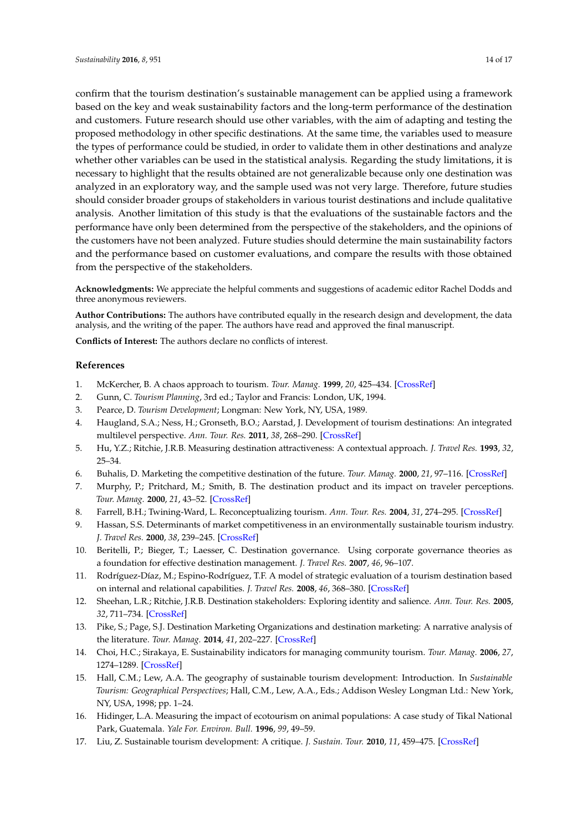confirm that the tourism destination's sustainable management can be applied using a framework based on the key and weak sustainability factors and the long-term performance of the destination and customers. Future research should use other variables, with the aim of adapting and testing the proposed methodology in other specific destinations. At the same time, the variables used to measure the types of performance could be studied, in order to validate them in other destinations and analyze whether other variables can be used in the statistical analysis. Regarding the study limitations, it is necessary to highlight that the results obtained are not generalizable because only one destination was analyzed in an exploratory way, and the sample used was not very large. Therefore, future studies should consider broader groups of stakeholders in various tourist destinations and include qualitative analysis. Another limitation of this study is that the evaluations of the sustainable factors and the performance have only been determined from the perspective of the stakeholders, and the opinions of the customers have not been analyzed. Future studies should determine the main sustainability factors and the performance based on customer evaluations, and compare the results with those obtained from the perspective of the stakeholders.

**Acknowledgments:** We appreciate the helpful comments and suggestions of academic editor Rachel Dodds and three anonymous reviewers.

**Author Contributions:** The authors have contributed equally in the research design and development, the data analysis, and the writing of the paper. The authors have read and approved the final manuscript.

**Conflicts of Interest:** The authors declare no conflicts of interest.

#### **References**

- <span id="page-13-0"></span>1. McKercher, B. A chaos approach to tourism. *Tour. Manag.* **1999**, *20*, 425–434. [\[CrossRef\]](http://dx.doi.org/10.1016/S0261-5177(99)00008-4)
- 2. Gunn, C. *Tourism Planning*, 3rd ed.; Taylor and Francis: London, UK, 1994.
- 3. Pearce, D. *Tourism Development*; Longman: New York, NY, USA, 1989.
- 4. Haugland, S.A.; Ness, H.; Gronseth, B.O.; Aarstad, J. Development of tourism destinations: An integrated multilevel perspective. *Ann. Tour. Res.* **2011**, *38*, 268–290. [\[CrossRef\]](http://dx.doi.org/10.1016/j.annals.2010.08.008)
- 5. Hu, Y.Z.; Ritchie, J.R.B. Measuring destination attractiveness: A contextual approach. *J. Travel Res.* **1993**, *32*, 25–34.
- 6. Buhalis, D. Marketing the competitive destination of the future. *Tour. Manag.* **2000**, *21*, 97–116. [\[CrossRef\]](http://dx.doi.org/10.1016/S0261-5177(99)00095-3)
- 7. Murphy, P.; Pritchard, M.; Smith, B. The destination product and its impact on traveler perceptions. *Tour. Manag.* **2000**, *21*, 43–52. [\[CrossRef\]](http://dx.doi.org/10.1016/S0261-5177(99)00080-1)
- <span id="page-13-1"></span>8. Farrell, B.H.; Twining-Ward, L. Reconceptualizing tourism. *Ann. Tour. Res.* **2004**, *31*, 274–295. [\[CrossRef\]](http://dx.doi.org/10.1016/j.annals.2003.12.002)
- <span id="page-13-2"></span>9. Hassan, S.S. Determinants of market competitiveness in an environmentally sustainable tourism industry. *J. Travel Res.* **2000**, *38*, 239–245. [\[CrossRef\]](http://dx.doi.org/10.1177/004728750003800305)
- <span id="page-13-3"></span>10. Beritelli, P.; Bieger, T.; Laesser, C. Destination governance. Using corporate governance theories as a foundation for effective destination management. *J. Travel Res.* **2007**, *46*, 96–107.
- <span id="page-13-4"></span>11. Rodríguez-Díaz, M.; Espino-Rodríguez, T.F. A model of strategic evaluation of a tourism destination based on internal and relational capabilities. *J. Travel Res.* **2008**, *46*, 368–380. [\[CrossRef\]](http://dx.doi.org/10.1177/0047287507308324)
- <span id="page-13-5"></span>12. Sheehan, L.R.; Ritchie, J.R.B. Destination stakeholders: Exploring identity and salience. *Ann. Tour. Res.* **2005**, *32*, 711–734. [\[CrossRef\]](http://dx.doi.org/10.1016/j.annals.2004.10.013)
- <span id="page-13-6"></span>13. Pike, S.; Page, S.J. Destination Marketing Organizations and destination marketing: A narrative analysis of the literature. *Tour. Manag.* **2014**, *41*, 202–227. [\[CrossRef\]](http://dx.doi.org/10.1016/j.tourman.2013.09.009)
- <span id="page-13-7"></span>14. Choi, H.C.; Sirakaya, E. Sustainability indicators for managing community tourism. *Tour. Manag.* **2006**, *27*, 1274–1289. [\[CrossRef\]](http://dx.doi.org/10.1016/j.tourman.2005.05.018)
- 15. Hall, C.M.; Lew, A.A. The geography of sustainable tourism development: Introduction. In *Sustainable Tourism: Geographical Perspectives*; Hall, C.M., Lew, A.A., Eds.; Addison Wesley Longman Ltd.: New York, NY, USA, 1998; pp. 1–24.
- 16. Hidinger, L.A. Measuring the impact of ecotourism on animal populations: A case study of Tikal National Park, Guatemala. *Yale For. Environ. Bull.* **1996**, *99*, 49–59.
- <span id="page-13-8"></span>17. Liu, Z. Sustainable tourism development: A critique. *J. Sustain. Tour.* **2010**, *11*, 459–475. [\[CrossRef\]](http://dx.doi.org/10.1080/09669580308667216)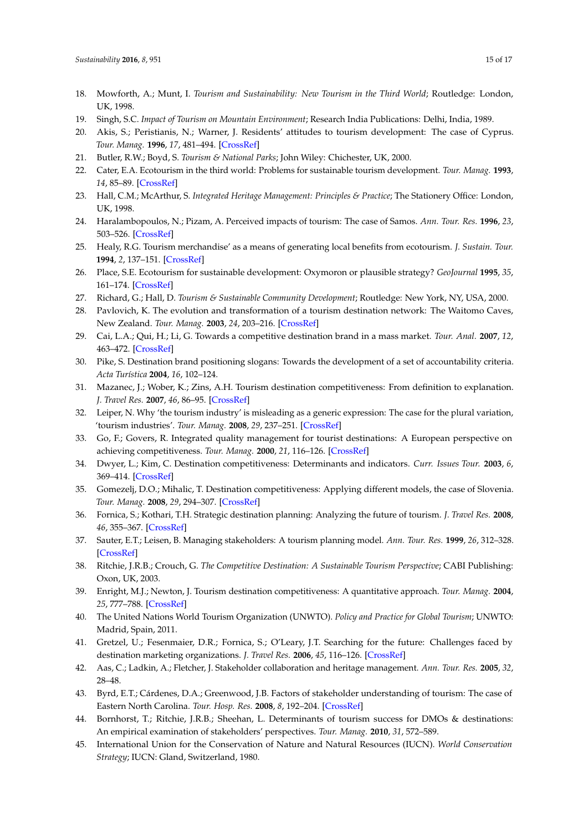- <span id="page-14-1"></span>18. Mowforth, A.; Munt, I. *Tourism and Sustainability: New Tourism in the Third World*; Routledge: London, UK, 1998.
- <span id="page-14-0"></span>19. Singh, S.C. *Impact of Tourism on Mountain Environment*; Research India Publications: Delhi, India, 1989.
- <span id="page-14-2"></span>20. Akis, S.; Peristianis, N.; Warner, J. Residents' attitudes to tourism development: The case of Cyprus. *Tour. Manag.* **1996**, *17*, 481–494. [\[CrossRef\]](http://dx.doi.org/10.1016/S0261-5177(96)00066-0)
- 21. Butler, R.W.; Boyd, S. *Tourism & National Parks*; John Wiley: Chichester, UK, 2000.
- 22. Cater, E.A. Ecotourism in the third world: Problems for sustainable tourism development. *Tour. Manag.* **1993**, *14*, 85–89. [\[CrossRef\]](http://dx.doi.org/10.1016/0261-5177(93)90040-R)
- 23. Hall, C.M.; McArthur, S. *Integrated Heritage Management: Principles & Practice*; The Stationery Office: London, UK, 1998.
- 24. Haralambopoulos, N.; Pizam, A. Perceived impacts of tourism: The case of Samos. *Ann. Tour. Res.* **1996**, *23*, 503–526. [\[CrossRef\]](http://dx.doi.org/10.1016/0160-7383(95)00075-5)
- 25. Healy, R.G. Tourism merchandise' as a means of generating local benefits from ecotourism. *J. Sustain. Tour.* **1994**, *2*, 137–151. [\[CrossRef\]](http://dx.doi.org/10.1080/09669589409510691)
- 26. Place, S.E. Ecotourism for sustainable development: Oxymoron or plausible strategy? *GeoJournal* **1995**, *35*, 161–174. [\[CrossRef\]](http://dx.doi.org/10.1007/BF00814062)
- <span id="page-14-3"></span>27. Richard, G.; Hall, D. *Tourism & Sustainable Community Development*; Routledge: New York, NY, USA, 2000.
- <span id="page-14-4"></span>28. Pavlovich, K. The evolution and transformation of a tourism destination network: The Waitomo Caves, New Zealand. *Tour. Manag.* **2003**, *24*, 203–216. [\[CrossRef\]](http://dx.doi.org/10.1016/S0261-5177(02)00056-0)
- <span id="page-14-5"></span>29. Cai, L.A.; Qui, H.; Li, G. Towards a competitive destination brand in a mass market. *Tour. Anal.* **2007**, *12*, 463–472. [\[CrossRef\]](http://dx.doi.org/10.3727/108354207783227966)
- 30. Pike, S. Destination brand positioning slogans: Towards the development of a set of accountability criteria. *Acta Turística* **2004**, *16*, 102–124.
- <span id="page-14-6"></span>31. Mazanec, J.; Wober, K.; Zins, A.H. Tourism destination competitiveness: From definition to explanation. *J. Travel Res.* **2007**, *46*, 86–95. [\[CrossRef\]](http://dx.doi.org/10.1177/0047287507302389)
- <span id="page-14-7"></span>32. Leiper, N. Why 'the tourism industry' is misleading as a generic expression: The case for the plural variation, 'tourism industries'. *Tour. Manag.* **2008**, *29*, 237–251. [\[CrossRef\]](http://dx.doi.org/10.1016/j.tourman.2007.03.015)
- <span id="page-14-8"></span>33. Go, F.; Govers, R. Integrated quality management for tourist destinations: A European perspective on achieving competitiveness. *Tour. Manag.* **2000**, *21*, 116–126. [\[CrossRef\]](http://dx.doi.org/10.1016/S0261-5177(99)00098-9)
- <span id="page-14-9"></span>34. Dwyer, L.; Kim, C. Destination competitiveness: Determinants and indicators. *Curr. Issues Tour.* **2003**, *6*, 369–414. [\[CrossRef\]](http://dx.doi.org/10.1080/13683500308667962)
- <span id="page-14-10"></span>35. Gomezelj, D.O.; Mihalic, T. Destination competitiveness: Applying different models, the case of Slovenia. *Tour. Manag.* **2008**, *29*, 294–307. [\[CrossRef\]](http://dx.doi.org/10.1016/j.tourman.2007.03.009)
- <span id="page-14-11"></span>36. Fornica, S.; Kothari, T.H. Strategic destination planning: Analyzing the future of tourism. *J. Travel Res.* **2008**, *46*, 355–367. [\[CrossRef\]](http://dx.doi.org/10.1177/0047287507312410)
- <span id="page-14-12"></span>37. Sauter, E.T.; Leisen, B. Managing stakeholders: A tourism planning model. *Ann. Tour. Res.* **1999**, *26*, 312–328. [\[CrossRef\]](http://dx.doi.org/10.1016/S0160-7383(98)00097-8)
- 38. Ritchie, J.R.B.; Crouch, G. *The Competitive Destination: A Sustainable Tourism Perspective*; CABI Publishing: Oxon, UK, 2003.
- <span id="page-14-13"></span>39. Enright, M.J.; Newton, J. Tourism destination competitiveness: A quantitative approach. *Tour. Manag.* **2004**, *25*, 777–788. [\[CrossRef\]](http://dx.doi.org/10.1016/j.tourman.2004.06.008)
- <span id="page-14-14"></span>40. The United Nations World Tourism Organization (UNWTO). *Policy and Practice for Global Tourism*; UNWTO: Madrid, Spain, 2011.
- <span id="page-14-15"></span>41. Gretzel, U.; Fesenmaier, D.R.; Fornica, S.; O'Leary, J.T. Searching for the future: Challenges faced by destination marketing organizations. *J. Travel Res.* **2006**, *45*, 116–126. [\[CrossRef\]](http://dx.doi.org/10.1177/0047287506291598)
- <span id="page-14-16"></span>42. Aas, C.; Ladkin, A.; Fletcher, J. Stakeholder collaboration and heritage management. *Ann. Tour. Res.* **2005**, *32*, 28–48.
- <span id="page-14-19"></span>43. Byrd, E.T.; Cárdenes, D.A.; Greenwood, J.B. Factors of stakeholder understanding of tourism: The case of Eastern North Carolina. *Tour. Hosp. Res.* **2008**, *8*, 192–204. [\[CrossRef\]](http://dx.doi.org/10.1057/thr.2008.21)
- <span id="page-14-17"></span>44. Bornhorst, T.; Ritchie, J.R.B.; Sheehan, L. Determinants of tourism success for DMOs & destinations: An empirical examination of stakeholders' perspectives. *Tour. Manag.* **2010**, *31*, 572–589.
- <span id="page-14-18"></span>45. International Union for the Conservation of Nature and Natural Resources (IUCN). *World Conservation Strategy*; IUCN: Gland, Switzerland, 1980.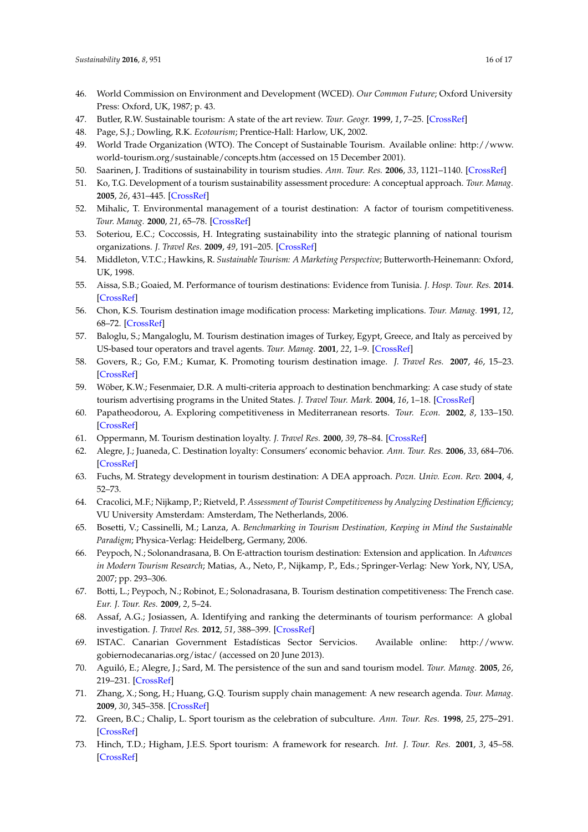- <span id="page-15-0"></span>46. World Commission on Environment and Development (WCED). *Our Common Future*; Oxford University Press: Oxford, UK, 1987; p. 43.
- <span id="page-15-1"></span>47. Butler, R.W. Sustainable tourism: A state of the art review. *Tour. Geogr.* **1999**, *1*, 7–25. [\[CrossRef\]](http://dx.doi.org/10.1080/14616689908721291)
- <span id="page-15-2"></span>48. Page, S.J.; Dowling, R.K. *Ecotourism*; Prentice-Hall: Harlow, UK, 2002.
- <span id="page-15-3"></span>49. World Trade Organization (WTO). The Concept of Sustainable Tourism. Available online: [http://www.](http://www.world-tourism.org/sustainable/concepts.htm) [world-tourism.org/sustainable/concepts.htm](http://www.world-tourism.org/sustainable/concepts.htm) (accessed on 15 December 2001).
- <span id="page-15-4"></span>50. Saarinen, J. Traditions of sustainability in tourism studies. *Ann. Tour. Res.* **2006**, *33*, 1121–1140. [\[CrossRef\]](http://dx.doi.org/10.1016/j.annals.2006.06.007)
- <span id="page-15-5"></span>51. Ko, T.G. Development of a tourism sustainability assessment procedure: A conceptual approach. *Tour. Manag.* **2005**, *26*, 431–445. [\[CrossRef\]](http://dx.doi.org/10.1016/j.tourman.2003.12.003)
- <span id="page-15-6"></span>52. Mihalic, T. Environmental management of a tourist destination: A factor of tourism competitiveness. *Tour. Manag.* **2000**, *21*, 65–78. [\[CrossRef\]](http://dx.doi.org/10.1016/S0261-5177(99)00096-5)
- <span id="page-15-7"></span>53. Soteriou, E.C.; Coccossis, H. Integrating sustainability into the strategic planning of national tourism organizations. *J. Travel Res.* **2009**, *49*, 191–205. [\[CrossRef\]](http://dx.doi.org/10.1177/0047287509336472)
- <span id="page-15-8"></span>54. Middleton, V.T.C.; Hawkins, R. *Sustainable Tourism: A Marketing Perspective*; Butterworth-Heinemann: Oxford, UK, 1998.
- <span id="page-15-9"></span>55. Aissa, S.B.; Goaied, M. Performance of tourism destinations: Evidence from Tunisia. *J. Hosp. Tour. Res.* **2014**. [\[CrossRef\]](http://dx.doi.org/10.1177/1096348014550870)
- <span id="page-15-10"></span>56. Chon, K.S. Tourism destination image modification process: Marketing implications. *Tour. Manag.* **1991**, *12*, 68–72. [\[CrossRef\]](http://dx.doi.org/10.1016/0261-5177(91)90030-W)
- 57. Baloglu, S.; Mangaloglu, M. Tourism destination images of Turkey, Egypt, Greece, and Italy as perceived by US-based tour operators and travel agents. *Tour. Manag.* **2001**, *22*, 1–9. [\[CrossRef\]](http://dx.doi.org/10.1016/S0261-5177(00)00030-3)
- <span id="page-15-11"></span>58. Govers, R.; Go, F.M.; Kumar, K. Promoting tourism destination image. *J. Travel Res.* **2007**, *46*, 15–23. [\[CrossRef\]](http://dx.doi.org/10.1177/0047287507302374)
- <span id="page-15-12"></span>59. Wöber, K.W.; Fesenmaier, D.R. A multi-criteria approach to destination benchmarking: A case study of state tourism advertising programs in the United States. *J. Travel Tour. Mark.* **2004**, *16*, 1–18. [\[CrossRef\]](http://dx.doi.org/10.1300/J073v16n02_01)
- <span id="page-15-13"></span>60. Papatheodorou, A. Exploring competitiveness in Mediterranean resorts. *Tour. Econ.* **2002**, *8*, 133–150. [\[CrossRef\]](http://dx.doi.org/10.5367/000000002101298034)
- <span id="page-15-14"></span>61. Oppermann, M. Tourism destination loyalty. *J. Travel Res.* **2000**, *39*, 78–84. [\[CrossRef\]](http://dx.doi.org/10.1177/004728750003900110)
- <span id="page-15-15"></span>62. Alegre, J.; Juaneda, C. Destination loyalty: Consumers' economic behavior. *Ann. Tour. Res.* **2006**, *33*, 684–706. [\[CrossRef\]](http://dx.doi.org/10.1016/j.annals.2006.03.014)
- <span id="page-15-16"></span>63. Fuchs, M. Strategy development in tourism destination: A DEA approach. *Pozn. Univ. Econ. Rev.* **2004**, *4*, 52–73.
- 64. Cracolici, M.F.; Nijkamp, P.; Rietveld, P. *Assessment of Tourist Competitiveness by Analyzing Destination Efficiency*; VU University Amsterdam: Amsterdam, The Netherlands, 2006.
- <span id="page-15-17"></span>65. Bosetti, V.; Cassinelli, M.; Lanza, A. *Benchmarking in Tourism Destination, Keeping in Mind the Sustainable Paradigm*; Physica-Verlag: Heidelberg, Germany, 2006.
- <span id="page-15-18"></span>66. Peypoch, N.; Solonandrasana, B. On E-attraction tourism destination: Extension and application. In *Advances in Modern Tourism Research*; Matias, A., Neto, P., Nijkamp, P., Eds.; Springer-Verlag: New York, NY, USA, 2007; pp. 293–306.
- <span id="page-15-19"></span>67. Botti, L.; Peypoch, N.; Robinot, E.; Solonadrasana, B. Tourism destination competitiveness: The French case. *Eur. J. Tour. Res.* **2009**, *2*, 5–24.
- <span id="page-15-20"></span>68. Assaf, A.G.; Josiassen, A. Identifying and ranking the determinants of tourism performance: A global investigation. *J. Travel Res.* **2012**, *51*, 388–399. [\[CrossRef\]](http://dx.doi.org/10.1177/0047287511426337)
- <span id="page-15-21"></span>69. ISTAC. Canarian Government Estadísticas Sector Servicios. Available online: [http://www.](http://www.gobiernodecanarias.org/istac/) [gobiernodecanarias.org/istac/](http://www.gobiernodecanarias.org/istac/) (accessed on 20 June 2013).
- <span id="page-15-22"></span>70. Aguiló, E.; Alegre, J.; Sard, M. The persistence of the sun and sand tourism model. *Tour. Manag.* **2005**, *26*, 219–231. [\[CrossRef\]](http://dx.doi.org/10.1016/j.tourman.2003.11.004)
- <span id="page-15-23"></span>71. Zhang, X.; Song, H.; Huang, G.Q. Tourism supply chain management: A new research agenda. *Tour. Manag.* **2009**, *30*, 345–358. [\[CrossRef\]](http://dx.doi.org/10.1016/j.tourman.2008.12.010)
- <span id="page-15-24"></span>72. Green, B.C.; Chalip, L. Sport tourism as the celebration of subculture. *Ann. Tour. Res.* **1998**, *25*, 275–291. [\[CrossRef\]](http://dx.doi.org/10.1016/S0160-7383(97)00073-X)
- 73. Hinch, T.D.; Higham, J.E.S. Sport tourism: A framework for research. *Int. J. Tour. Res.* **2001**, *3*, 45–58. [\[CrossRef\]](http://dx.doi.org/10.1002/1522-1970(200101/02)3:1<45::AID-JTR243>3.0.CO;2-A)